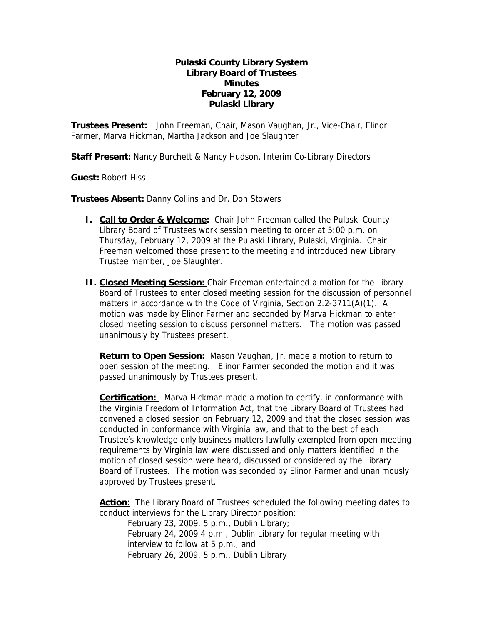## **Pulaski County Library System Library Board of Trustees Minutes February 12, 2009 Pulaski Library**

**Trustees Present:** John Freeman, Chair, Mason Vaughan, Jr., Vice-Chair, Elinor Farmer, Marva Hickman, Martha Jackson and Joe Slaughter

**Staff Present:** Nancy Burchett & Nancy Hudson, Interim Co-Library Directors

**Guest:** Robert Hiss

**Trustees Absent:** Danny Collins and Dr. Don Stowers

- **I.** Call to Order & Welcome: Chair John Freeman called the Pulaski County Library Board of Trustees work session meeting to order at 5:00 p.m. on Thursday, February 12, 2009 at the Pulaski Library, Pulaski, Virginia. Chair Freeman welcomed those present to the meeting and introduced new Library Trustee member, Joe Slaughter.
- **II. Closed Meeting Session:** Chair Freeman entertained a motion for the Library Board of Trustees to enter closed meeting session for the discussion of personnel matters in accordance with the Code of Virginia, Section 2.2-3711(A)(1). A motion was made by Elinor Farmer and seconded by Marva Hickman to enter closed meeting session to discuss personnel matters. The motion was passed unanimously by Trustees present.

**Return to Open Session:** Mason Vaughan, Jr. made a motion to return to open session of the meeting. Elinor Farmer seconded the motion and it was passed unanimously by Trustees present.

**Certification:** Marva Hickman made a motion to certify, in conformance with the Virginia Freedom of Information Act, that the Library Board of Trustees had convened a closed session on February 12, 2009 and that the closed session was conducted in conformance with Virginia law, and that to the best of each Trustee's knowledge only business matters lawfully exempted from open meeting requirements by Virginia law were discussed and only matters identified in the motion of closed session were heard, discussed or considered by the Library Board of Trustees. The motion was seconded by Elinor Farmer and unanimously approved by Trustees present.

**Action:** The Library Board of Trustees scheduled the following meeting dates to conduct interviews for the Library Director position:

February 23, 2009, 5 p.m., Dublin Library; February 24, 2009 4 p.m., Dublin Library for regular meeting with interview to follow at 5 p.m.; and February 26, 2009, 5 p.m., Dublin Library